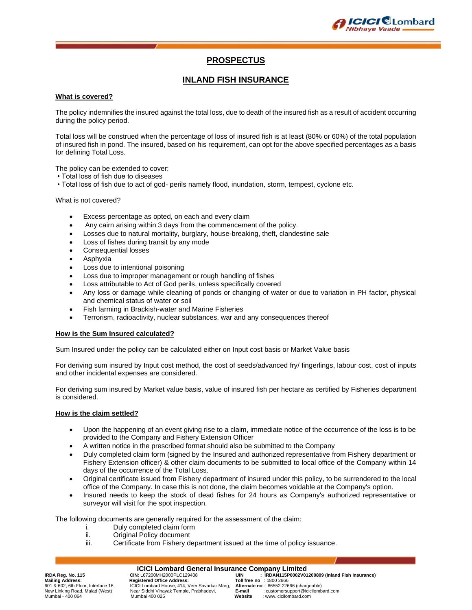

## **PROSPECTUS**

### **INLAND FISH INSURANCE**

### **What is covered?**

The policy indemnifies the insured against the total loss, due to death of the insured fish as a result of accident occurring during the policy period.

Total loss will be construed when the percentage of loss of insured fish is at least (80% or 60%) of the total population of insured fish in pond. The insured, based on his requirement, can opt for the above specified percentages as a basis for defining Total Loss.

The policy can be extended to cover:

- Total loss of fish due to diseases
- Total loss of fish due to act of god- perils namely flood, inundation, storm, tempest, cyclone etc.

What is not covered?

- Excess percentage as opted, on each and every claim
- Any cairn arising within 3 days from the commencement of the policy.
- Losses due to natural mortality, burglary, house-breaking, theft, clandestine sale
- Loss of fishes during transit by any mode
- Consequential losses
- Asphyxia
- Loss due to intentional poisoning
- Loss due to improper management or rough handling of fishes
- Loss attributable to Act of God perils, unless specifically covered
- Any loss or damage while cleaning of ponds or changing of water or due to variation in PH factor, physical and chemical status of water or soil
- Fish farming in Brackish-water and Marine Fisheries
- Terrorism, radioactivity, nuclear substances, war and any consequences thereof

### **How is the Sum Insured calculated?**

Sum Insured under the policy can be calculated either on Input cost basis or Market Value basis

For deriving sum insured by Input cost method, the cost of seeds/advanced fry/ fingerlings, labour cost, cost of inputs and other incidental expenses are considered.

For deriving sum insured by Market value basis, value of insured fish per hectare as certified by Fisheries department is considered.

### **How is the claim settled?**

- Upon the happening of an event giving rise to a claim, immediate notice of the occurrence of the loss is to be provided to the Company and Fishery Extension Officer
- A written notice in the prescribed format should also be submitted to the Company
- Duly completed claim form (signed by the Insured and authorized representative from Fishery department or Fishery Extension officer) & other claim documents to be submitted to local office of the Company within 14 days of the occurrence of the Total Loss.
- Original certificate issued from Fishery department of insured under this policy, to be surrendered to the local office of the Company. In case this is not done, the claim becomes voidable at the Company's option.
- Insured needs to keep the stock of dead fishes for 24 hours as Company's authorized representative or surveyor will visit for the spot inspection.

The following documents are generally required for the assessment of the claim:

- i. Duly completed claim form
- ii. Original Policy document
- iii. Certificate from Fishery department issued at the time of policy issuance.

# **ICICI Lombard General Insurance Company Limited**<br>IRDAN115P0002V01 : UIN : L67200MH2000PLC129408

Mailing Address:<br>601 & 602, 6th Floor, Interface 16, **Registered Office Address:** Toll free no : 1800 2666<br>601 & 602, 6th Floor, Interface 16, **COLL** Combard House, 414, Veer Savarkar Marg, Alternate no : 86552 22666 (char Near Siddhi Vinayak Temple, Prabhadevi, Mumbai - 400 064 Mumbai 400 025 **Website** : www.icicilombard.com

**IRDA Reg. No. 115 CIN**: L67200MH2000PLC129408 **UIN : IRDAN115P0002V01200809 (Inland Fish Insurance)** 601 & 602, 6th Floor, Interface 16, ICICI Lombard House, 414, Veer Savarkar Marg, **Alternate no** : 86552 22666 (chargeable)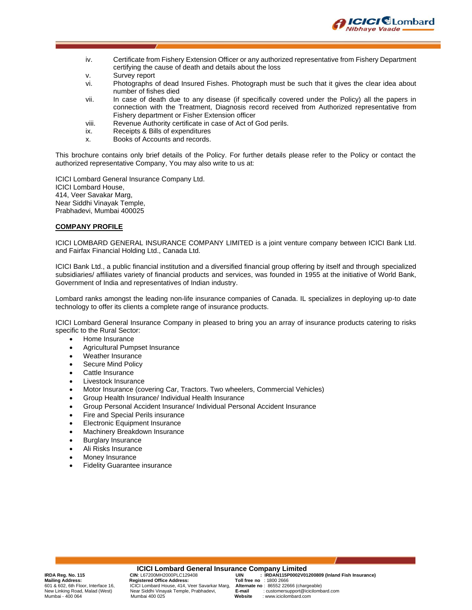

- iv. Certificate from Fishery Extension Officer or any authorized representative from Fishery Department certifying the cause of death and details about the loss
- v. Survey report
- vi. Photographs of dead Insured Fishes. Photograph must be such that it gives the clear idea about number of fishes died
- vii. In case of death due to any disease (if specifically covered under the Policy) all the papers in connection with the Treatment, Diagnosis record received from Authorized representative from Fishery department or Fisher Extension officer
- viii. Revenue Authority certificate in case of Act of God perils.
- ix. Receipts & Bills of expenditures
- x. Books of Accounts and records.

This brochure contains only brief details of the Policy. For further details please refer to the Policy or contact the authorized representative Company, You may also write to us at:

ICICI Lombard General Insurance Company Ltd. ICICI Lombard House, 414, Veer Savakar Marg, Near Siddhi Vinayak Temple, Prabhadevi, Mumbai 400025

### **COMPANY PROFILE**

ICICI LOMBARD GENERAL INSURANCE COMPANY LIMITED is a joint venture company between ICICI Bank Ltd. and Fairfax Financial Holding Ltd., Canada Ltd.

ICICI Bank Ltd., a public financial institution and a diversified financial group offering by itself and through specialized subsidiaries/ affiliates variety of financial products and services, was founded in 1955 at the initiative of World Bank, Government of India and representatives of Indian industry.

Lombard ranks amongst the leading non-life insurance companies of Canada. IL specializes in deploying up-to date technology to offer its clients a complete range of insurance products.

ICICI Lombard General Insurance Company in pleased to bring you an array of insurance products catering to risks specific to the Rural Sector:

- Home Insurance
- Agricultural Pumpset Insurance
- Weather Insurance
- Secure Mind Policy
- Cattle Insurance
- Livestock Insurance
- Motor Insurance (covering Car, Tractors. Two wheelers, Commercial Vehicles)
- Group Health Insurance/ Individual Health Insurance
- Group Personal Accident Insurance/ Individual Personal Accident Insurance
- Fire and Special Perils insurance
- Electronic Equipment Insurance
- Machinery Breakdown Insurance
- Burglary Insurance
- Ali Risks Insurance
- Money Insurance
- **Fidelity Guarantee insurance**

## **ICICI Lombard General Insurance Company Limited**<br>IN : L67200MH2000PLC129408 UIN : IRDAN115P0002V01

Mailing Address:<br>601 & 602, 6th Floor, Interface 16, **Registered Office Address:** Toll free no : 1800 2666<br>601 & 602, 6th Floor, Interface 16, **COLL** Combard House, 414, Veer Savarkar Marg, Alternate no : 86552 22666 (char Near Siddhi Vinayak Temple, Prabhadevi, Mumbai - 400 064 Mumbai 400 025 **Website** : www.icicilombard.com

**IRDA Reg. No. 115 CIN**: L67200MH2000PLC129408 **UIN : IRDAN115P0002V01200809 (Inland Fish Insurance)** 601 & 602, 6th Floor, Interface 16, ICICI Lombard House, 414, Veer Savarkar Marg, **Alternate no** : 86552 22666 (chargeable)